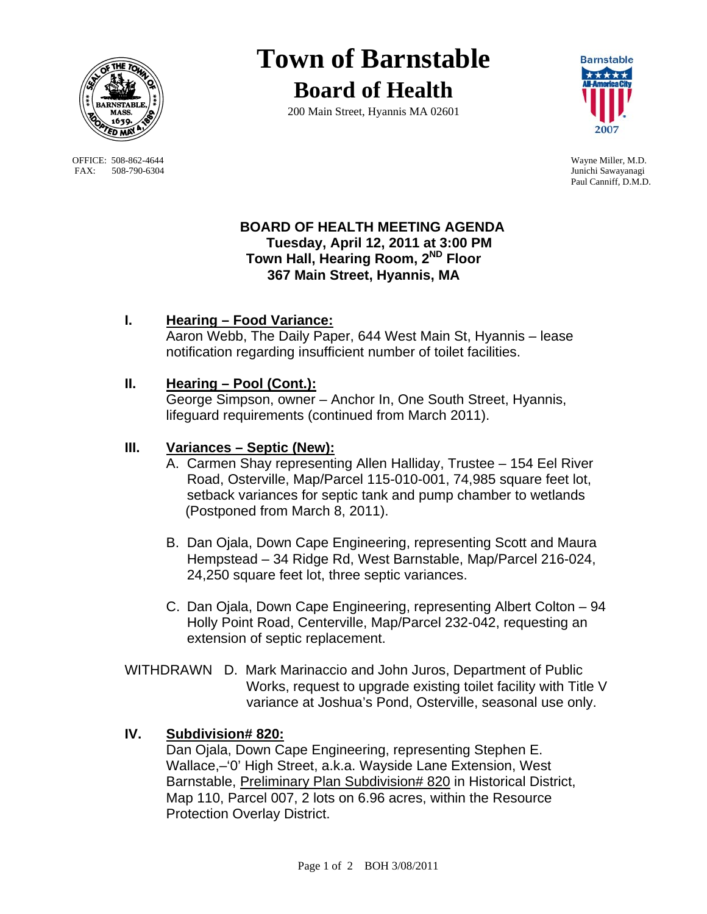

OFFICE: 508-862-4644 Wayne Miller, M.D.<br>
FAX: 508-790-6304 Junichi Sawayanagi FAX: 508-790-6304

# **Town of Barnstable Board of Health**

200 Main Street, Hyannis MA 02601



Paul Canniff, D.M.D.

#### **BOARD OF HEALTH MEETING AGENDA Tuesday, April 12, 2011 at 3:00 PM Town Hall, Hearing Room, 2ND Floor 367 Main Street, Hyannis, MA**

# **I. Hearing – Food Variance:**

 Aaron Webb, The Daily Paper, 644 West Main St, Hyannis – lease notification regarding insufficient number of toilet facilities.

## **II. Hearing – Pool (Cont.):**

 George Simpson, owner – Anchor In, One South Street, Hyannis, lifeguard requirements (continued from March 2011).

#### **III. Variances – Septic (New):**

- A. Carmen Shay representing Allen Halliday, Trustee 154 Eel River Road, Osterville, Map/Parcel 115-010-001, 74,985 square feet lot, setback variances for septic tank and pump chamber to wetlands (Postponed from March 8, 2011).
- B. Dan Ojala, Down Cape Engineering, representing Scott and Maura Hempstead – 34 Ridge Rd, West Barnstable, Map/Parcel 216-024, 24,250 square feet lot, three septic variances.
- C. Dan Ojala, Down Cape Engineering, representing Albert Colton 94 Holly Point Road, Centerville, Map/Parcel 232-042, requesting an extension of septic replacement.
- WITHDRAWN D. Mark Marinaccio and John Juros, Department of Public Works, request to upgrade existing toilet facility with Title V variance at Joshua's Pond, Osterville, seasonal use only.

## **IV. Subdivision# 820:**

Dan Ojala, Down Cape Engineering, representing Stephen E. Wallace,–'0' High Street, a.k.a. Wayside Lane Extension, West Barnstable, Preliminary Plan Subdivision# 820 in Historical District, Map 110, Parcel 007, 2 lots on 6.96 acres, within the Resource Protection Overlay District.